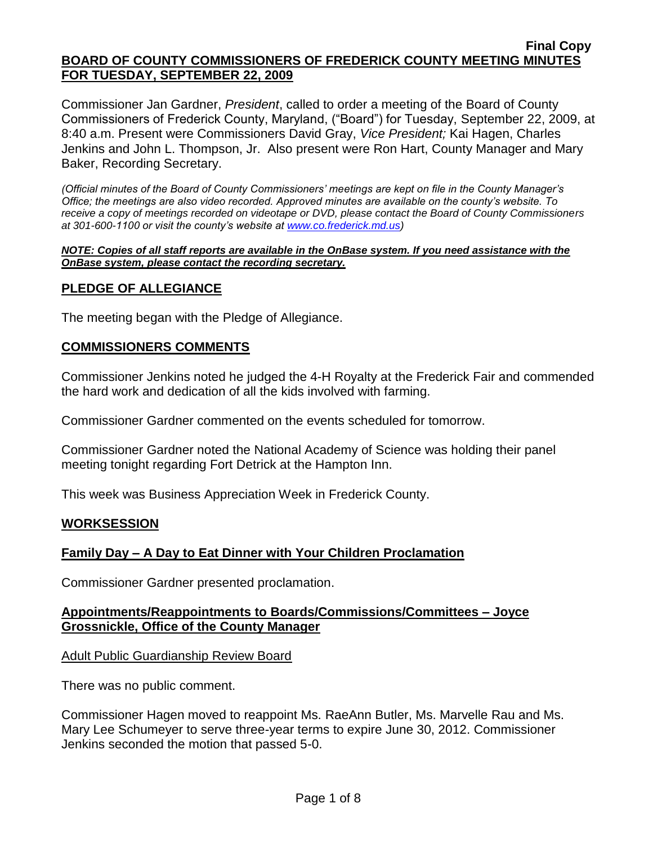Commissioner Jan Gardner, *President*, called to order a meeting of the Board of County Commissioners of Frederick County, Maryland, ("Board") for Tuesday, September 22, 2009, at 8:40 a.m. Present were Commissioners David Gray, *Vice President;* Kai Hagen, Charles Jenkins and John L. Thompson, Jr. Also present were Ron Hart, County Manager and Mary Baker, Recording Secretary.

*(Official minutes of the Board of County Commissioners' meetings are kept on file in the County Manager's Office; the meetings are also video recorded. Approved minutes are available on the county's website. To receive a copy of meetings recorded on videotape or DVD, please contact the Board of County Commissioners at 301-600-1100 or visit the county's website at [www.co.frederick.md.us\)](http://www.co.frederick.md.us/)*

#### *NOTE: Copies of all staff reports are available in the OnBase system. If you need assistance with the OnBase system, please contact the recording secretary.*

# **PLEDGE OF ALLEGIANCE**

The meeting began with the Pledge of Allegiance.

## **COMMISSIONERS COMMENTS**

Commissioner Jenkins noted he judged the 4-H Royalty at the Frederick Fair and commended the hard work and dedication of all the kids involved with farming.

Commissioner Gardner commented on the events scheduled for tomorrow.

Commissioner Gardner noted the National Academy of Science was holding their panel meeting tonight regarding Fort Detrick at the Hampton Inn.

This week was Business Appreciation Week in Frederick County.

## **WORKSESSION**

## **Family Day – A Day to Eat Dinner with Your Children Proclamation**

Commissioner Gardner presented proclamation.

# **Appointments/Reappointments to Boards/Commissions/Committees – Joyce Grossnickle, Office of the County Manager**

Adult Public Guardianship Review Board

There was no public comment.

Commissioner Hagen moved to reappoint Ms. RaeAnn Butler, Ms. Marvelle Rau and Ms. Mary Lee Schumeyer to serve three-year terms to expire June 30, 2012. Commissioner Jenkins seconded the motion that passed 5-0.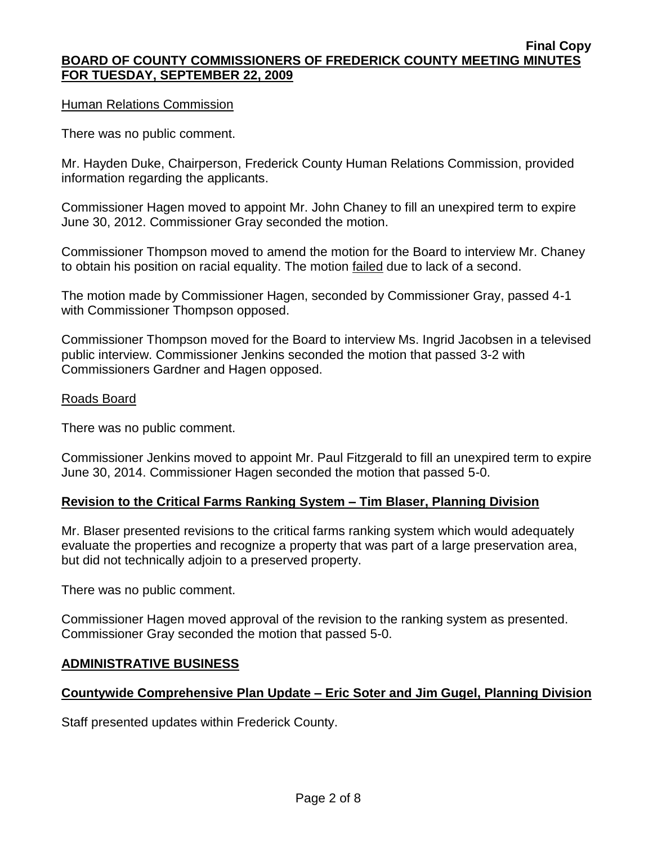### Human Relations Commission

There was no public comment.

Mr. Hayden Duke, Chairperson, Frederick County Human Relations Commission, provided information regarding the applicants.

Commissioner Hagen moved to appoint Mr. John Chaney to fill an unexpired term to expire June 30, 2012. Commissioner Gray seconded the motion.

Commissioner Thompson moved to amend the motion for the Board to interview Mr. Chaney to obtain his position on racial equality. The motion failed due to lack of a second.

The motion made by Commissioner Hagen, seconded by Commissioner Gray, passed 4-1 with Commissioner Thompson opposed.

Commissioner Thompson moved for the Board to interview Ms. Ingrid Jacobsen in a televised public interview. Commissioner Jenkins seconded the motion that passed 3-2 with Commissioners Gardner and Hagen opposed.

### Roads Board

There was no public comment.

Commissioner Jenkins moved to appoint Mr. Paul Fitzgerald to fill an unexpired term to expire June 30, 2014. Commissioner Hagen seconded the motion that passed 5-0.

## **Revision to the Critical Farms Ranking System – Tim Blaser, Planning Division**

Mr. Blaser presented revisions to the critical farms ranking system which would adequately evaluate the properties and recognize a property that was part of a large preservation area, but did not technically adjoin to a preserved property.

There was no public comment.

Commissioner Hagen moved approval of the revision to the ranking system as presented. Commissioner Gray seconded the motion that passed 5-0.

## **ADMINISTRATIVE BUSINESS**

## **Countywide Comprehensive Plan Update – Eric Soter and Jim Gugel, Planning Division**

Staff presented updates within Frederick County.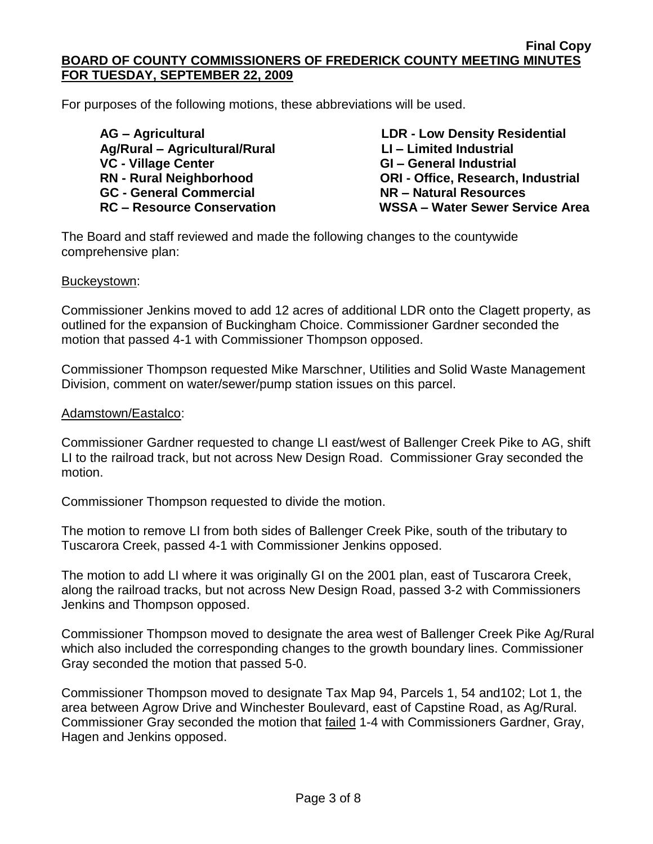For purposes of the following motions, these abbreviations will be used.

 **Ag/Rural – Agricultural/Rural LI – Limited Industrial VC - Village Center GI – General Industrial GC - General Commercial NR – Natural Resources**

**AG – Agricultural LDR - Low Density Residential RN - Rural Neighborhood ORI - Office, Research, Industrial RC – Resource Conservation WSSA – Water Sewer Service Area**

The Board and staff reviewed and made the following changes to the countywide comprehensive plan:

### Buckeystown:

Commissioner Jenkins moved to add 12 acres of additional LDR onto the Clagett property, as outlined for the expansion of Buckingham Choice. Commissioner Gardner seconded the motion that passed 4-1 with Commissioner Thompson opposed.

Commissioner Thompson requested Mike Marschner, Utilities and Solid Waste Management Division, comment on water/sewer/pump station issues on this parcel.

### Adamstown/Eastalco:

Commissioner Gardner requested to change LI east/west of Ballenger Creek Pike to AG, shift LI to the railroad track, but not across New Design Road. Commissioner Gray seconded the motion.

Commissioner Thompson requested to divide the motion.

The motion to remove LI from both sides of Ballenger Creek Pike, south of the tributary to Tuscarora Creek, passed 4-1 with Commissioner Jenkins opposed.

The motion to add LI where it was originally GI on the 2001 plan, east of Tuscarora Creek, along the railroad tracks, but not across New Design Road, passed 3-2 with Commissioners Jenkins and Thompson opposed.

Commissioner Thompson moved to designate the area west of Ballenger Creek Pike Ag/Rural which also included the corresponding changes to the growth boundary lines. Commissioner Gray seconded the motion that passed 5-0.

Commissioner Thompson moved to designate Tax Map 94, Parcels 1, 54 and102; Lot 1, the area between Agrow Drive and Winchester Boulevard, east of Capstine Road, as Ag/Rural. Commissioner Gray seconded the motion that failed 1-4 with Commissioners Gardner, Gray, Hagen and Jenkins opposed.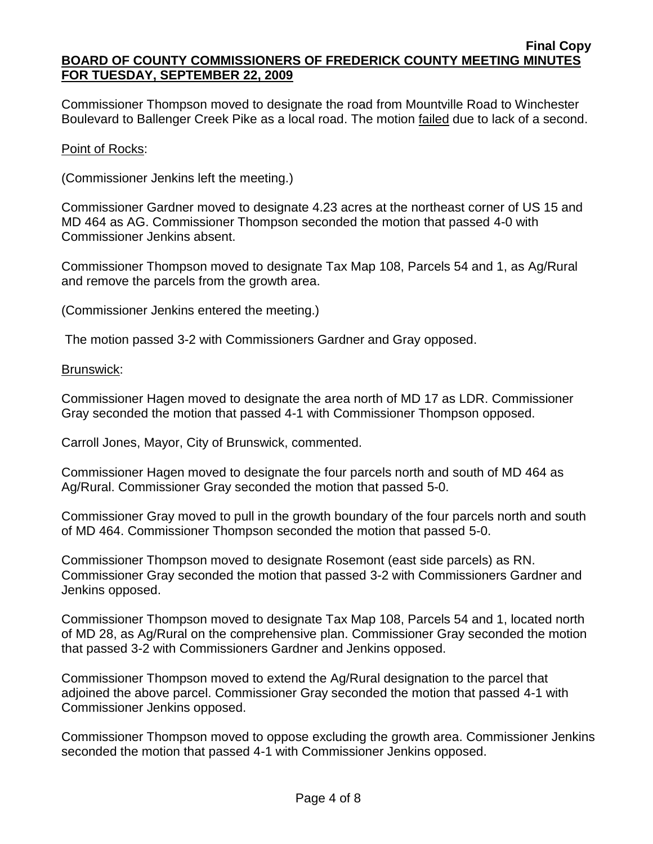Commissioner Thompson moved to designate the road from Mountville Road to Winchester Boulevard to Ballenger Creek Pike as a local road. The motion failed due to lack of a second.

## Point of Rocks:

(Commissioner Jenkins left the meeting.)

Commissioner Gardner moved to designate 4.23 acres at the northeast corner of US 15 and MD 464 as AG. Commissioner Thompson seconded the motion that passed 4-0 with Commissioner Jenkins absent.

Commissioner Thompson moved to designate Tax Map 108, Parcels 54 and 1, as Ag/Rural and remove the parcels from the growth area.

(Commissioner Jenkins entered the meeting.)

The motion passed 3-2 with Commissioners Gardner and Gray opposed.

Brunswick:

Commissioner Hagen moved to designate the area north of MD 17 as LDR. Commissioner Gray seconded the motion that passed 4-1 with Commissioner Thompson opposed.

Carroll Jones, Mayor, City of Brunswick, commented.

Commissioner Hagen moved to designate the four parcels north and south of MD 464 as Ag/Rural. Commissioner Gray seconded the motion that passed 5-0.

Commissioner Gray moved to pull in the growth boundary of the four parcels north and south of MD 464. Commissioner Thompson seconded the motion that passed 5-0.

Commissioner Thompson moved to designate Rosemont (east side parcels) as RN. Commissioner Gray seconded the motion that passed 3-2 with Commissioners Gardner and Jenkins opposed.

Commissioner Thompson moved to designate Tax Map 108, Parcels 54 and 1, located north of MD 28, as Ag/Rural on the comprehensive plan. Commissioner Gray seconded the motion that passed 3-2 with Commissioners Gardner and Jenkins opposed.

Commissioner Thompson moved to extend the Ag/Rural designation to the parcel that adjoined the above parcel. Commissioner Gray seconded the motion that passed 4-1 with Commissioner Jenkins opposed.

Commissioner Thompson moved to oppose excluding the growth area. Commissioner Jenkins seconded the motion that passed 4-1 with Commissioner Jenkins opposed.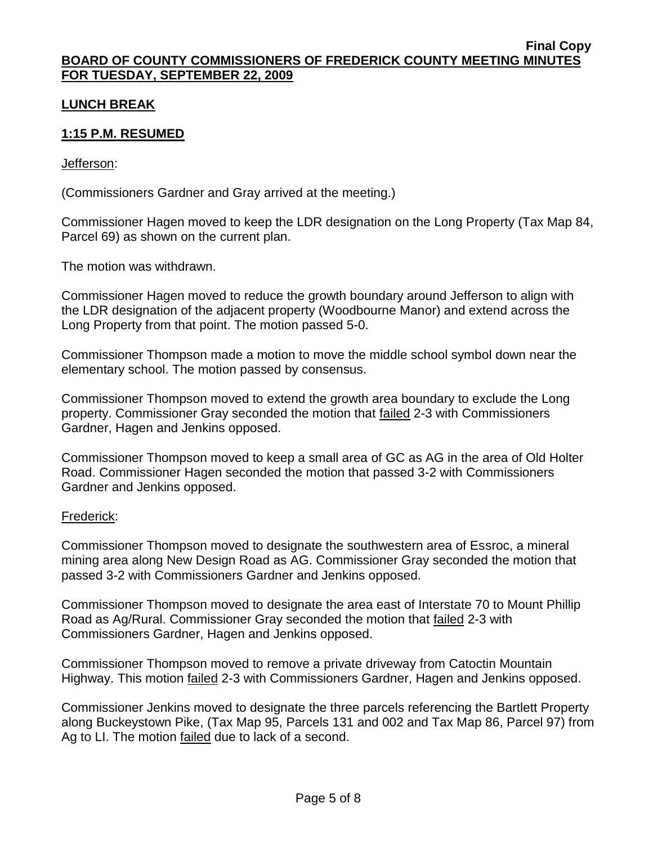# **LUNCH BREAK**

# **1:15 P.M. RESUMED**

### Jefferson:

(Commissioners Gardner and Gray arrived at the meeting.)

Commissioner Hagen moved to keep the LDR designation on the Long Property (Tax Map 84, Parcel 69) as shown on the current plan.

The motion was withdrawn.

Commissioner Hagen moved to reduce the growth boundary around Jefferson to align with the LDR designation of the adjacent property (Woodbourne Manor) and extend across the Long Property from that point. The motion passed 5-0.

Commissioner Thompson made a motion to move the middle school symbol down near the elementary school. The motion passed by consensus.

Commissioner Thompson moved to extend the growth area boundary to exclude the Long property. Commissioner Gray seconded the motion that failed 2-3 with Commissioners Gardner, Hagen and Jenkins opposed.

Commissioner Thompson moved to keep a small area of GC as AG in the area of Old Holter Road. Commissioner Hagen seconded the motion that passed 3-2 with Commissioners Gardner and Jenkins opposed.

### Frederick:

Commissioner Thompson moved to designate the southwestern area of Essroc, a mineral mining area along New Design Road as AG. Commissioner Gray seconded the motion that passed 3-2 with Commissioners Gardner and Jenkins opposed.

Commissioner Thompson moved to designate the area east of Interstate 70 to Mount Phillip Road as Ag/Rural. Commissioner Gray seconded the motion that failed 2-3 with Commissioners Gardner, Hagen and Jenkins opposed.

Commissioner Thompson moved to remove a private driveway from Catoctin Mountain Highway. This motion **failed 2-3 with Commissioners Gardner**, Hagen and Jenkins opposed.

Commissioner Jenkins moved to designate the three parcels referencing the Bartlett Property along Buckeystown Pike, (Tax Map 95, Parcels 131 and 002 and Tax Map 86, Parcel 97) from Ag to LI. The motion failed due to lack of a second.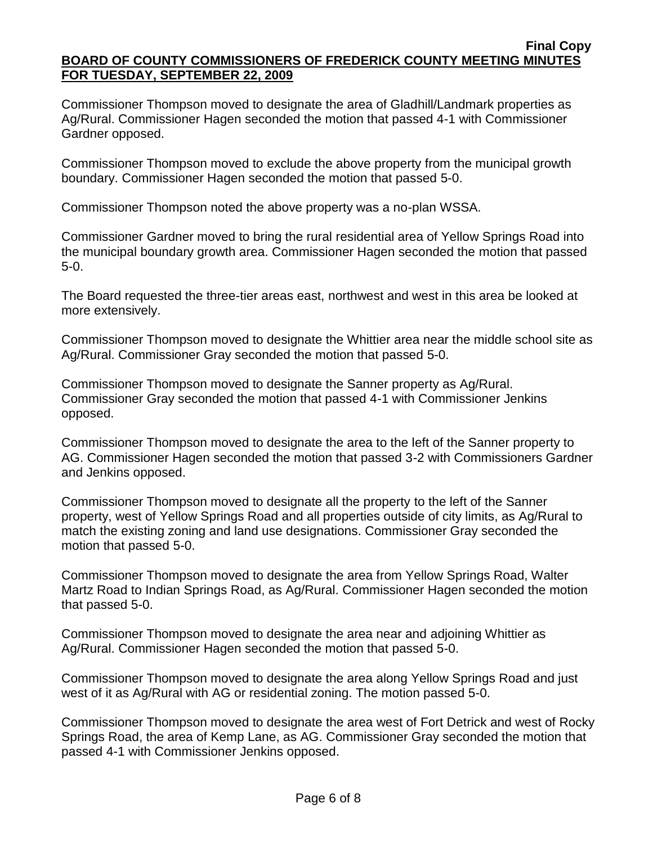Commissioner Thompson moved to designate the area of Gladhill/Landmark properties as Ag/Rural. Commissioner Hagen seconded the motion that passed 4-1 with Commissioner Gardner opposed.

Commissioner Thompson moved to exclude the above property from the municipal growth boundary. Commissioner Hagen seconded the motion that passed 5-0.

Commissioner Thompson noted the above property was a no-plan WSSA.

Commissioner Gardner moved to bring the rural residential area of Yellow Springs Road into the municipal boundary growth area. Commissioner Hagen seconded the motion that passed 5-0.

The Board requested the three-tier areas east, northwest and west in this area be looked at more extensively.

Commissioner Thompson moved to designate the Whittier area near the middle school site as Ag/Rural. Commissioner Gray seconded the motion that passed 5-0.

Commissioner Thompson moved to designate the Sanner property as Ag/Rural. Commissioner Gray seconded the motion that passed 4-1 with Commissioner Jenkins opposed.

Commissioner Thompson moved to designate the area to the left of the Sanner property to AG. Commissioner Hagen seconded the motion that passed 3-2 with Commissioners Gardner and Jenkins opposed.

Commissioner Thompson moved to designate all the property to the left of the Sanner property, west of Yellow Springs Road and all properties outside of city limits, as Ag/Rural to match the existing zoning and land use designations. Commissioner Gray seconded the motion that passed 5-0.

Commissioner Thompson moved to designate the area from Yellow Springs Road, Walter Martz Road to Indian Springs Road, as Ag/Rural. Commissioner Hagen seconded the motion that passed 5-0.

Commissioner Thompson moved to designate the area near and adjoining Whittier as Ag/Rural. Commissioner Hagen seconded the motion that passed 5-0.

Commissioner Thompson moved to designate the area along Yellow Springs Road and just west of it as Ag/Rural with AG or residential zoning. The motion passed 5-0.

Commissioner Thompson moved to designate the area west of Fort Detrick and west of Rocky Springs Road, the area of Kemp Lane, as AG. Commissioner Gray seconded the motion that passed 4-1 with Commissioner Jenkins opposed.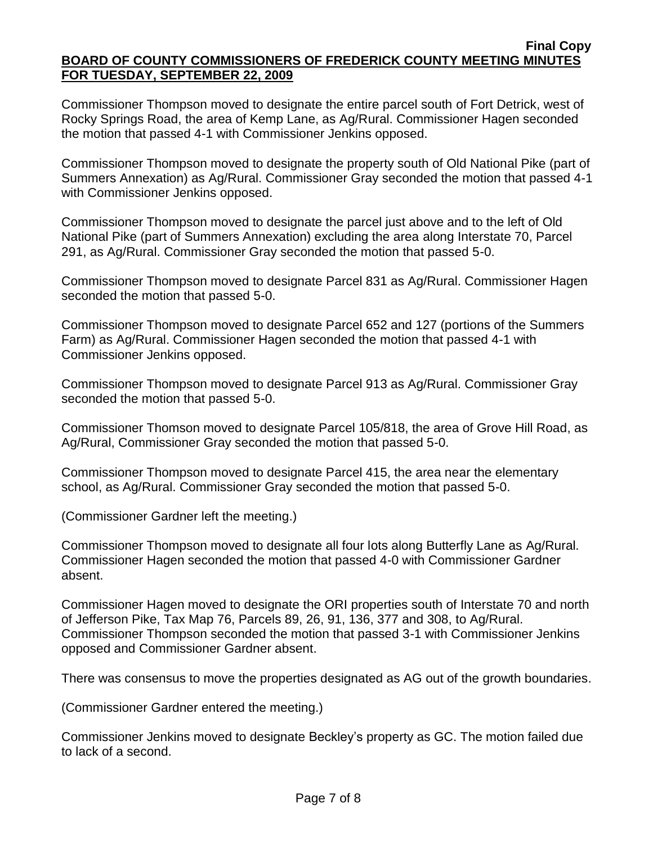Commissioner Thompson moved to designate the entire parcel south of Fort Detrick, west of Rocky Springs Road, the area of Kemp Lane, as Ag/Rural. Commissioner Hagen seconded the motion that passed 4-1 with Commissioner Jenkins opposed.

Commissioner Thompson moved to designate the property south of Old National Pike (part of Summers Annexation) as Ag/Rural. Commissioner Gray seconded the motion that passed 4-1 with Commissioner Jenkins opposed.

Commissioner Thompson moved to designate the parcel just above and to the left of Old National Pike (part of Summers Annexation) excluding the area along Interstate 70, Parcel 291, as Ag/Rural. Commissioner Gray seconded the motion that passed 5-0.

Commissioner Thompson moved to designate Parcel 831 as Ag/Rural. Commissioner Hagen seconded the motion that passed 5-0.

Commissioner Thompson moved to designate Parcel 652 and 127 (portions of the Summers Farm) as Ag/Rural. Commissioner Hagen seconded the motion that passed 4-1 with Commissioner Jenkins opposed.

Commissioner Thompson moved to designate Parcel 913 as Ag/Rural. Commissioner Gray seconded the motion that passed 5-0.

Commissioner Thomson moved to designate Parcel 105/818, the area of Grove Hill Road, as Ag/Rural, Commissioner Gray seconded the motion that passed 5-0.

Commissioner Thompson moved to designate Parcel 415, the area near the elementary school, as Ag/Rural. Commissioner Gray seconded the motion that passed 5-0.

(Commissioner Gardner left the meeting.)

Commissioner Thompson moved to designate all four lots along Butterfly Lane as Ag/Rural. Commissioner Hagen seconded the motion that passed 4-0 with Commissioner Gardner absent.

Commissioner Hagen moved to designate the ORI properties south of Interstate 70 and north of Jefferson Pike, Tax Map 76, Parcels 89, 26, 91, 136, 377 and 308, to Ag/Rural. Commissioner Thompson seconded the motion that passed 3-1 with Commissioner Jenkins opposed and Commissioner Gardner absent.

There was consensus to move the properties designated as AG out of the growth boundaries.

(Commissioner Gardner entered the meeting.)

Commissioner Jenkins moved to designate Beckley's property as GC. The motion failed due to lack of a second.